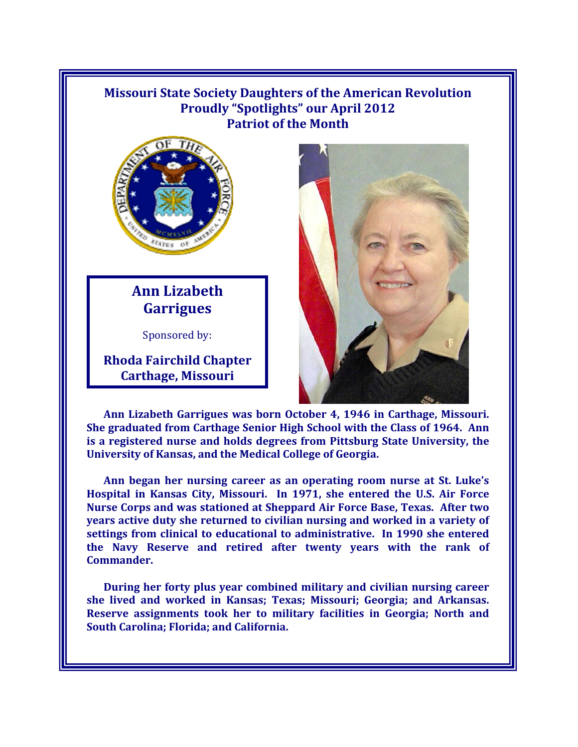## **Missouri State Society Daughters of the American Revolution Proudly "Spotlights" our April 2012 Patriot of the Month**



## **Ann Lizabeth Garrigues**

Sponsored by:

**Rhoda Fairchild Chapter Carthage, Missouri**



**Ann Lizabeth Garrigues was born October 4, 1946 in Carthage, Missouri. She graduated from Carthage Senior High School with the Class of 1964. Ann is a registered nurse and holds degrees from Pittsburg State University, the University of Kansas, and the Medical College of Georgia.** 

Ann began her nursing career as an operating room nurse at St. Luke's **Hospital in Kansas City, Missouri. In 1971, she entered the U.S. Air Force Nurse Corps and was stationed at Sheppard Air Force Base, Texas. After two years active duty she returned to civilian nursing and worked in a variety of settings from clinical to educational to administrative. In 1990 she entered the Navy Reserve and retired after twenty years with the rank of Commander.** 

**During her forty plus year combined military and civilian nursing career she lived and worked in Kansas; Texas; Missouri; Georgia; and Arkansas. Reserve assignments took her to military facilities in Georgia; North and South Carolina; Florida; and California.**